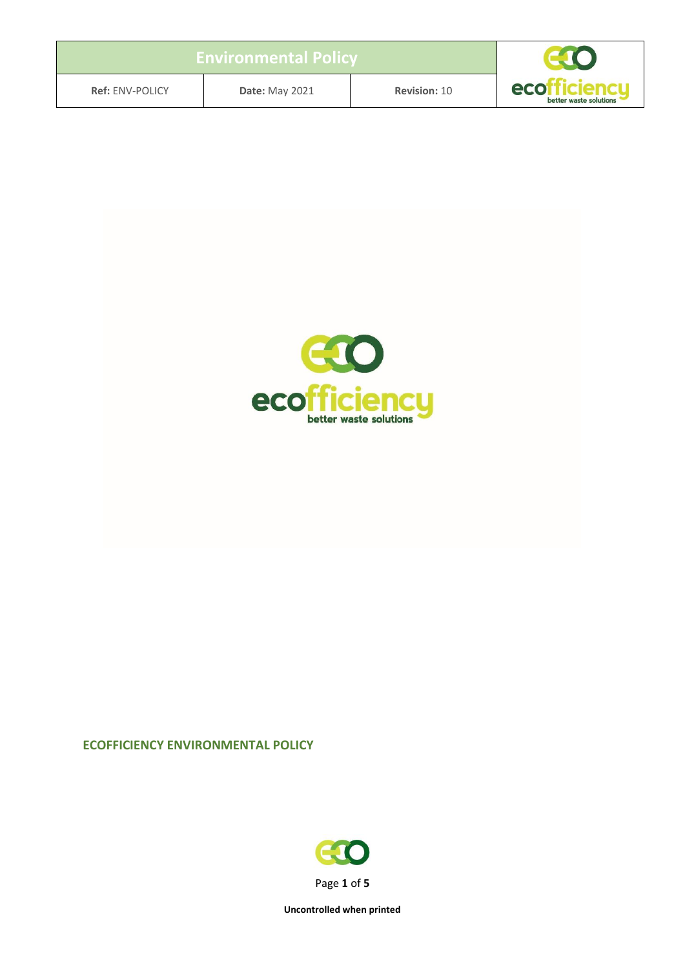| <b>Environmental Policy</b> |                       |                     |                               |
|-----------------------------|-----------------------|---------------------|-------------------------------|
| <b>Ref: ENV-POLICY</b>      | <b>Date: May 2021</b> | <b>Revision: 10</b> | eco<br>better waste solutions |



#### **ECOFFICIENCY ENVIRONMENTAL POLICY**

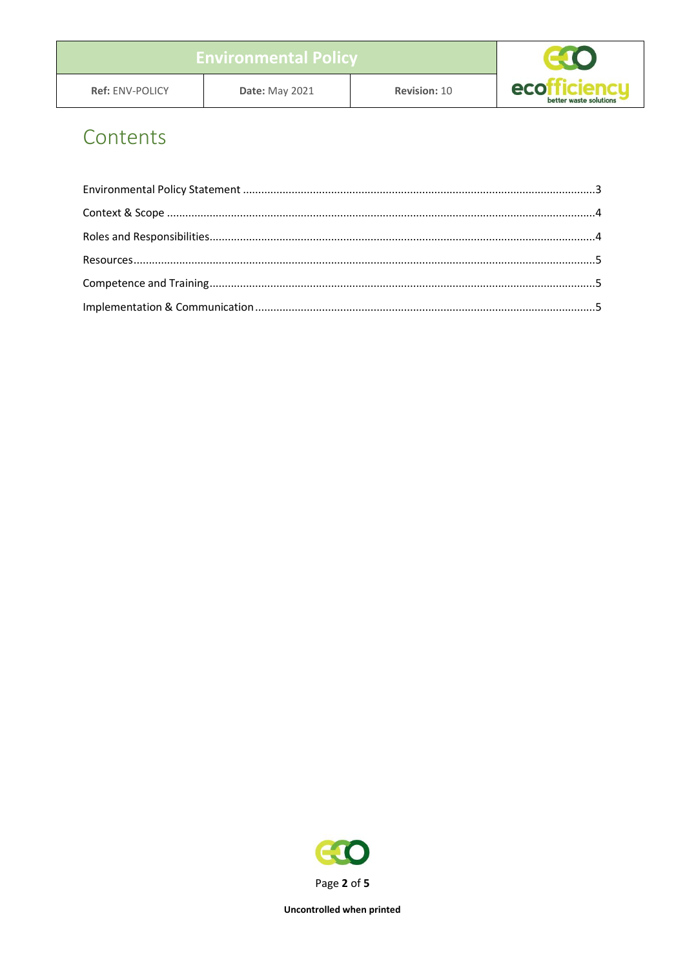# Contents

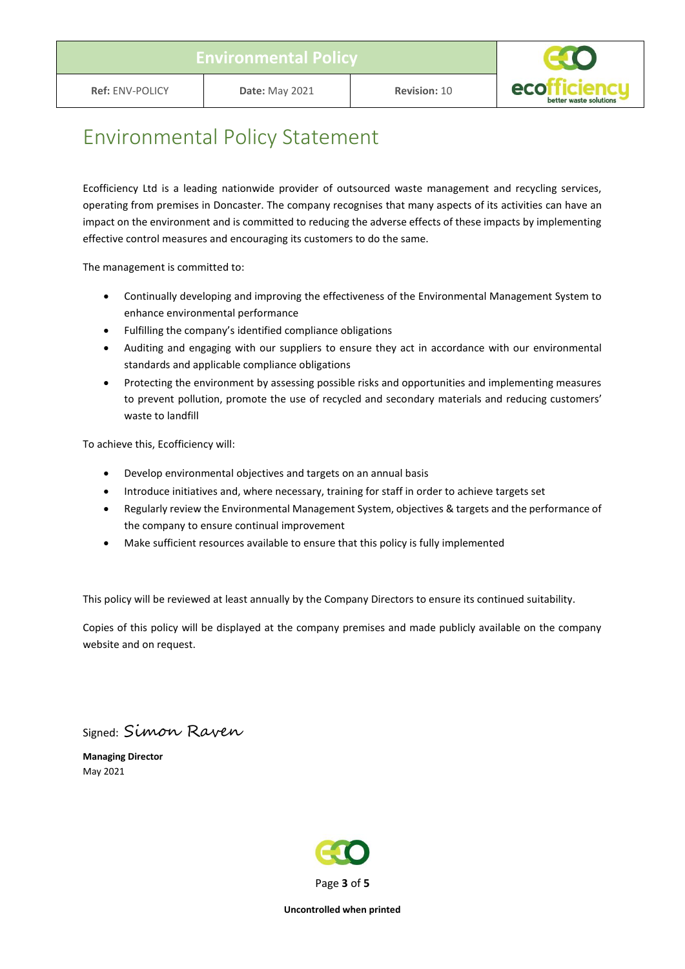

## <span id="page-2-0"></span>Environmental Policy Statement

Ecofficiency Ltd is a leading nationwide provider of outsourced waste management and recycling services, operating from premises in Doncaster. The company recognises that many aspects of its activities can have an impact on the environment and is committed to reducing the adverse effects of these impacts by implementing effective control measures and encouraging its customers to do the same.

The management is committed to:

- Continually developing and improving the effectiveness of the Environmental Management System to enhance environmental performance
- Fulfilling the company's identified compliance obligations
- Auditing and engaging with our suppliers to ensure they act in accordance with our environmental standards and applicable compliance obligations
- Protecting the environment by assessing possible risks and opportunities and implementing measures to prevent pollution, promote the use of recycled and secondary materials and reducing customers' waste to landfill

To achieve this, Ecofficiency will:

- Develop environmental objectives and targets on an annual basis
- Introduce initiatives and, where necessary, training for staff in order to achieve targets set
- Regularly review the Environmental Management System, objectives & targets and the performance of the company to ensure continual improvement
- Make sufficient resources available to ensure that this policy is fully implemented

This policy will be reviewed at least annually by the Company Directors to ensure its continued suitability.

Copies of this policy will be displayed at the company premises and made publicly available on the company website and on request.

Signed: Simon Raven

**Managing Director** May 2021

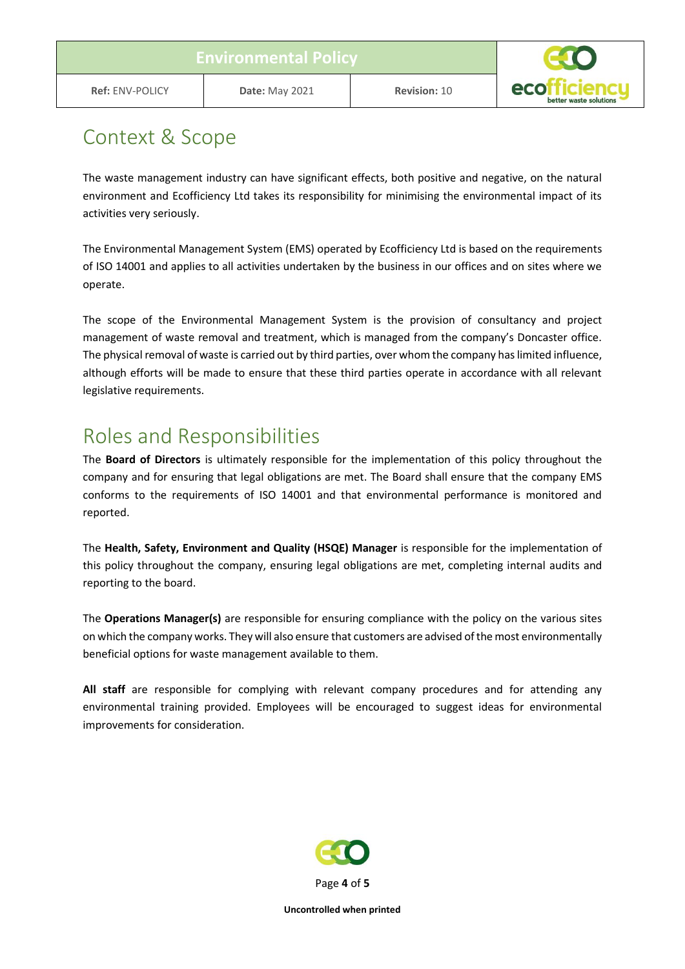

#### <span id="page-3-0"></span>Context & Scope

The waste management industry can have significant effects, both positive and negative, on the natural environment and Ecofficiency Ltd takes its responsibility for minimising the environmental impact of its activities very seriously.

The Environmental Management System (EMS) operated by Ecofficiency Ltd is based on the requirements of ISO 14001 and applies to all activities undertaken by the business in our offices and on sites where we operate.

The scope of the Environmental Management System is the provision of consultancy and project management of waste removal and treatment, which is managed from the company's Doncaster office. The physical removal of waste is carried out by third parties, over whom the company has limited influence, although efforts will be made to ensure that these third parties operate in accordance with all relevant legislative requirements.

## <span id="page-3-1"></span>Roles and Responsibilities

The **Board of Directors** is ultimately responsible for the implementation of this policy throughout the company and for ensuring that legal obligations are met. The Board shall ensure that the company EMS conforms to the requirements of ISO 14001 and that environmental performance is monitored and reported.

The **Health, Safety, Environment and Quality (HSQE) Manager** is responsible for the implementation of this policy throughout the company, ensuring legal obligations are met, completing internal audits and reporting to the board.

The **Operations Manager(s)** are responsible for ensuring compliance with the policy on the various sites on which the company works. They will also ensure that customers are advised of the most environmentally beneficial options for waste management available to them.

**All staff** are responsible for complying with relevant company procedures and for attending any environmental training provided. Employees will be encouraged to suggest ideas for environmental improvements for consideration.